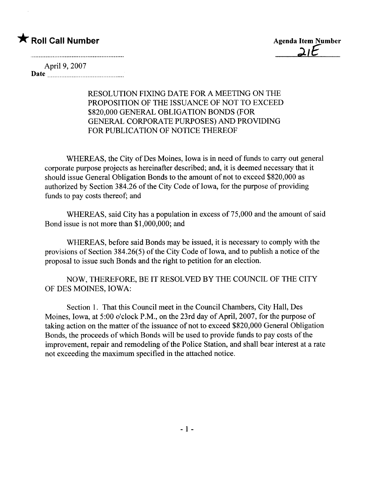## \* Roll Call Number Agenda Item Number

 $2IE$ 

April 9, 2007 Date <u>music communication</u>

#### RESOLUTION FIXING DATE FOR A MEETING ON THE PROPOSITION OF THE ISSUANCE OF NOT TO EXCEED \$820,000 GENERAL OBLIGATION BONDS (FOR GENERAL CORPORATE PURPOSES) AND PROVIDING FOR PUBLICATION OF NOTICE THEREOF

WHEREAS, the City of Des Moines, Iowa is in need of funds to carry out general corporate purpose projects as hereinafter described; and, it is deemed necessary that it should issue General Obligation Bonds to the amount of not to exceed \$820,000 as authorized by Section 384.26 of the City Code of Iowa, for the purpose of providing funds to pay costs thereof; and

WHEREAS, said City has a population in excess of 75,000 and the amount of said Bond issue is not more than \$1,000,000; and

WHEREAS, before said Bonds may be issued, it is necessary to comply with the provisions of Section 384.26(5) of the City Code of Iowa, and to publish a notice of the proposal to issue such Bonds and the right to petition for an election.

NOW, THEREFORE, BE IT RESOLVED BY THE COUNCIL OF THE CITY OF DES MOINES, IOWA:

Section 1. That this Council meet in the Council Chambers, City Hall, Des Moines, Iowa, at 5:00 o'clock P.M., on the 23rd day of April, 2007, for the purpose of taking action on the matter of the issuance of not to exceed \$820,000 General Obligation Bonds, the proceeds of which Bonds wil be used to provide funds to pay costs of the improvement, repair and remodeling of the Police Station, and shall bear interest at a rate not exceeding the maximum specified in the attached notice.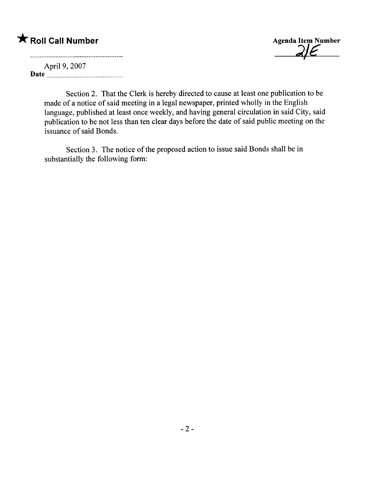# \* Roll Call Number Agenda Item Number

 $2J$  $\epsilon$ 

April 9, 2007 Date  $\frac{1}{2}$  Date  $\frac{1}{2}$ 

 $\mathcal{A}$ 

Section 2. That the Clerk is hereby directed to cause at least one publication to be made of a notice of said meeting in a legal newspaper, printed wholly in the English language, published at least once weekly, and having general circulation in said City, said publication to be not less than ten clear days before the date of said public meeting on the issuance of said Bonds.

Section 3. The notice of the proposed action to issue said Bonds shall be in substantially the following form: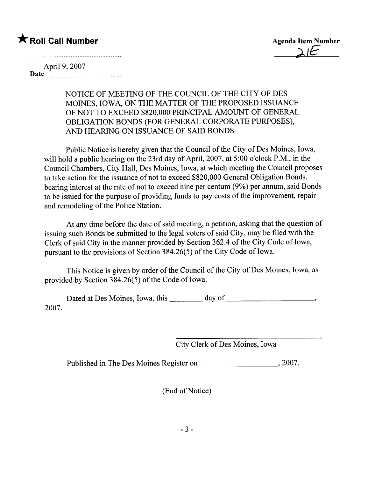# \* Roll Call Number Agenda Item Number

April 9, 2007 Date <u>in music communication</u>

> NOTICE OF MEETING OF THE COUNCIL OF THE CITY OF DES MOINES, IOWA, ON THE MATTER OF THE PROPOSED ISSUANCE OF NOT TO EXCEED \$820,000 PRINCIPAL AMOUNT OF GENERAL OBLIGATION BONDS (FOR GENERAL CORPORATE PURPOSES), AND HEARING ON ISSUANCE OF SAID BONDS

Public Notice is hereby given that the Council of the City of Des Moines, Iowa, will hold a public hearing on the 23rd day of April, 2007, at 5:00 o'clock P.M., in the Council Chambers, City Hall, Des Moines, Iowa, at which meeting the Council proposes to take action for the issuance of not to exceed \$820,000 General Obligation Bonds, bearing interest at the rate of not to exceed nine per centum (9%) per annum, said Bonds to be issued for the purpose of providing funds to pay costs of the improvement, repair and remodeling of the Police Station.

At any time before the date of said meeting, a petition, asking that the question of issuing such Bonds be submitted to the legal voters of said City, may be fied with the Clerk of said City in the manner provided by Section 362.4 of the City Code of Iowa, pursuant to the provisions of Section 384.26(5) of the City Code of Iowa.

This Notice is given by order of the Council of the City of Des Moines, Iowa, as provided by Section  $384.26(5)$  of the Code of Iowa.

Dated at Des Moines, Iowa, this \_\_\_\_\_\_\_ day of \_\_\_\_\_\_\_\_\_\_\_\_\_\_\_\_\_\_\_\_\_\_\_\_\_\_\_\_\_\_\_\_\_\_ 2007.

City Clerk of Des Moines, Iowa

Published in The Des Moines Register on ,2007.

(End of Notice)